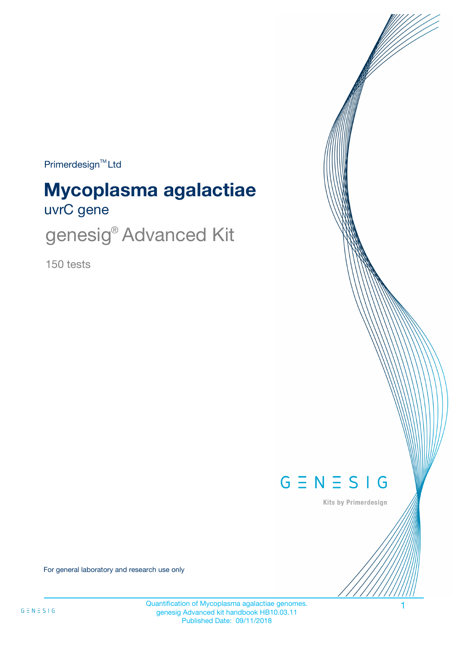$Primerdesign^{\text{TM}}$ Ltd

# uvrC gene **Mycoplasma agalactiae**

genesig<sup>®</sup> Advanced Kit

150 tests



Kits by Primerdesign

For general laboratory and research use only

Quantification of Mycoplasma agalactiae genomes. 1 genesig Advanced kit handbook HB10.03.11 Published Date: 09/11/2018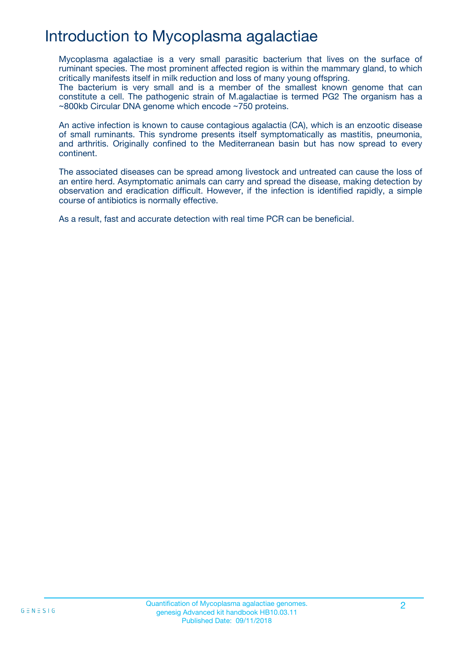## Introduction to Mycoplasma agalactiae

Mycoplasma agalactiae is a very small parasitic bacterium that lives on the surface of ruminant species. The most prominent affected region is within the mammary gland, to which critically manifests itself in milk reduction and loss of many young offspring.

The bacterium is very small and is a member of the smallest known genome that can constitute a cell. The pathogenic strain of M.agalactiae is termed PG2 The organism has a ~800kb Circular DNA genome which encode ~750 proteins.

An active infection is known to cause contagious agalactia (CA), which is an enzootic disease of small ruminants. This syndrome presents itself symptomatically as mastitis, pneumonia, and arthritis. Originally confined to the Mediterranean basin but has now spread to every continent.

The associated diseases can be spread among livestock and untreated can cause the loss of an entire herd. Asymptomatic animals can carry and spread the disease, making detection by observation and eradication difficult. However, if the infection is identified rapidly, a simple course of antibiotics is normally effective.

As a result, fast and accurate detection with real time PCR can be beneficial.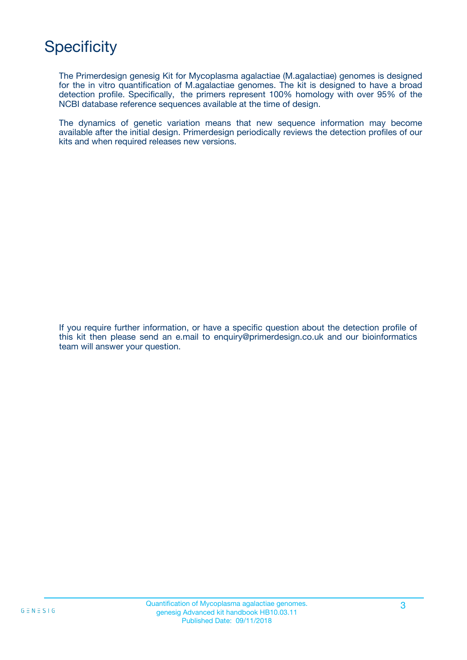# **Specificity**

The Primerdesign genesig Kit for Mycoplasma agalactiae (M.agalactiae) genomes is designed for the in vitro quantification of M.agalactiae genomes. The kit is designed to have a broad detection profile. Specifically, the primers represent 100% homology with over 95% of the NCBI database reference sequences available at the time of design.

The dynamics of genetic variation means that new sequence information may become available after the initial design. Primerdesign periodically reviews the detection profiles of our kits and when required releases new versions.

If you require further information, or have a specific question about the detection profile of this kit then please send an e.mail to enquiry@primerdesign.co.uk and our bioinformatics team will answer your question.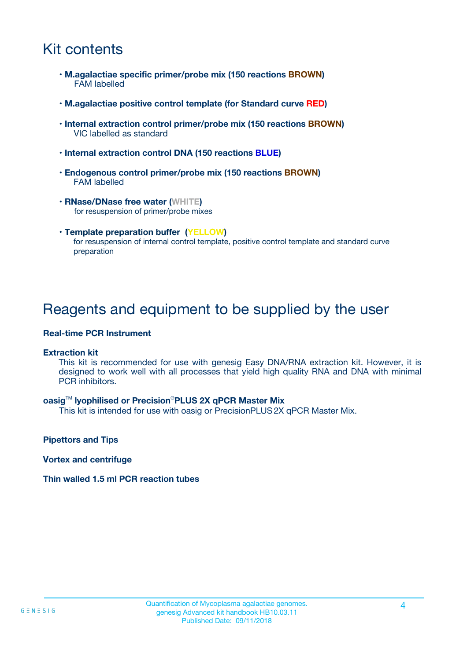## Kit contents

- **M.agalactiae specific primer/probe mix (150 reactions BROWN)** FAM labelled
- **M.agalactiae positive control template (for Standard curve RED)**
- **Internal extraction control primer/probe mix (150 reactions BROWN)** VIC labelled as standard
- **Internal extraction control DNA (150 reactions BLUE)**
- **Endogenous control primer/probe mix (150 reactions BROWN)** FAM labelled
- **RNase/DNase free water (WHITE)** for resuspension of primer/probe mixes
- **Template preparation buffer (YELLOW)** for resuspension of internal control template, positive control template and standard curve preparation

### Reagents and equipment to be supplied by the user

#### **Real-time PCR Instrument**

#### **Extraction kit**

This kit is recommended for use with genesig Easy DNA/RNA extraction kit. However, it is designed to work well with all processes that yield high quality RNA and DNA with minimal PCR inhibitors.

#### **oasig**TM **lyophilised or Precision**®**PLUS 2X qPCR Master Mix**

This kit is intended for use with oasig or PrecisionPLUS2X qPCR Master Mix.

**Pipettors and Tips**

**Vortex and centrifuge**

#### **Thin walled 1.5 ml PCR reaction tubes**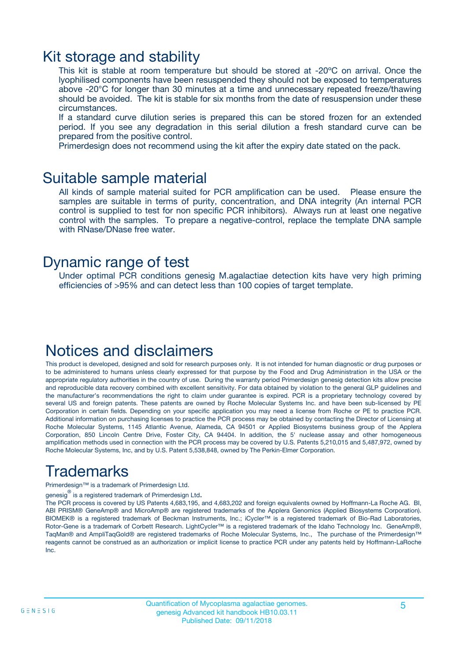### Kit storage and stability

This kit is stable at room temperature but should be stored at -20ºC on arrival. Once the lyophilised components have been resuspended they should not be exposed to temperatures above -20°C for longer than 30 minutes at a time and unnecessary repeated freeze/thawing should be avoided. The kit is stable for six months from the date of resuspension under these circumstances.

If a standard curve dilution series is prepared this can be stored frozen for an extended period. If you see any degradation in this serial dilution a fresh standard curve can be prepared from the positive control.

Primerdesign does not recommend using the kit after the expiry date stated on the pack.

### Suitable sample material

All kinds of sample material suited for PCR amplification can be used. Please ensure the samples are suitable in terms of purity, concentration, and DNA integrity (An internal PCR control is supplied to test for non specific PCR inhibitors). Always run at least one negative control with the samples. To prepare a negative-control, replace the template DNA sample with RNase/DNase free water.

### Dynamic range of test

Under optimal PCR conditions genesig M.agalactiae detection kits have very high priming efficiencies of >95% and can detect less than 100 copies of target template.

### Notices and disclaimers

This product is developed, designed and sold for research purposes only. It is not intended for human diagnostic or drug purposes or to be administered to humans unless clearly expressed for that purpose by the Food and Drug Administration in the USA or the appropriate regulatory authorities in the country of use. During the warranty period Primerdesign genesig detection kits allow precise and reproducible data recovery combined with excellent sensitivity. For data obtained by violation to the general GLP guidelines and the manufacturer's recommendations the right to claim under guarantee is expired. PCR is a proprietary technology covered by several US and foreign patents. These patents are owned by Roche Molecular Systems Inc. and have been sub-licensed by PE Corporation in certain fields. Depending on your specific application you may need a license from Roche or PE to practice PCR. Additional information on purchasing licenses to practice the PCR process may be obtained by contacting the Director of Licensing at Roche Molecular Systems, 1145 Atlantic Avenue, Alameda, CA 94501 or Applied Biosystems business group of the Applera Corporation, 850 Lincoln Centre Drive, Foster City, CA 94404. In addition, the 5' nuclease assay and other homogeneous amplification methods used in connection with the PCR process may be covered by U.S. Patents 5,210,015 and 5,487,972, owned by Roche Molecular Systems, Inc, and by U.S. Patent 5,538,848, owned by The Perkin-Elmer Corporation.

## Trademarks

Primerdesign™ is a trademark of Primerdesign Ltd.

genesig $^\circledR$  is a registered trademark of Primerdesign Ltd.

The PCR process is covered by US Patents 4,683,195, and 4,683,202 and foreign equivalents owned by Hoffmann-La Roche AG. BI, ABI PRISM® GeneAmp® and MicroAmp® are registered trademarks of the Applera Genomics (Applied Biosystems Corporation). BIOMEK® is a registered trademark of Beckman Instruments, Inc.; iCycler™ is a registered trademark of Bio-Rad Laboratories, Rotor-Gene is a trademark of Corbett Research. LightCycler™ is a registered trademark of the Idaho Technology Inc. GeneAmp®, TaqMan® and AmpliTaqGold® are registered trademarks of Roche Molecular Systems, Inc., The purchase of the Primerdesign™ reagents cannot be construed as an authorization or implicit license to practice PCR under any patents held by Hoffmann-LaRoche Inc.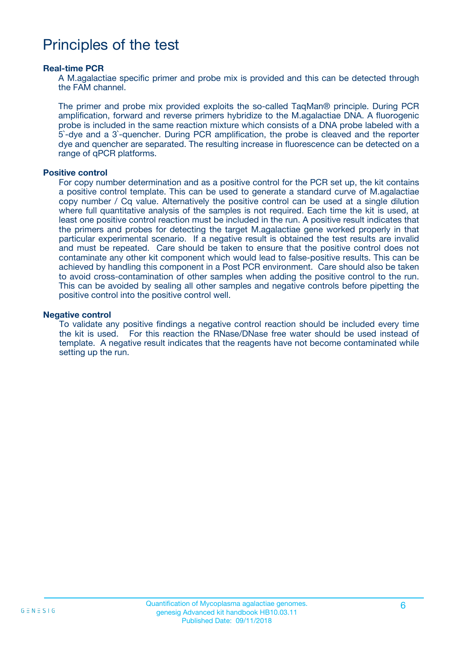### Principles of the test

#### **Real-time PCR**

A M.agalactiae specific primer and probe mix is provided and this can be detected through the FAM channel.

The primer and probe mix provided exploits the so-called TaqMan® principle. During PCR amplification, forward and reverse primers hybridize to the M.agalactiae DNA. A fluorogenic probe is included in the same reaction mixture which consists of a DNA probe labeled with a 5`-dye and a 3`-quencher. During PCR amplification, the probe is cleaved and the reporter dye and quencher are separated. The resulting increase in fluorescence can be detected on a range of qPCR platforms.

#### **Positive control**

For copy number determination and as a positive control for the PCR set up, the kit contains a positive control template. This can be used to generate a standard curve of M.agalactiae copy number / Cq value. Alternatively the positive control can be used at a single dilution where full quantitative analysis of the samples is not required. Each time the kit is used, at least one positive control reaction must be included in the run. A positive result indicates that the primers and probes for detecting the target M.agalactiae gene worked properly in that particular experimental scenario. If a negative result is obtained the test results are invalid and must be repeated. Care should be taken to ensure that the positive control does not contaminate any other kit component which would lead to false-positive results. This can be achieved by handling this component in a Post PCR environment. Care should also be taken to avoid cross-contamination of other samples when adding the positive control to the run. This can be avoided by sealing all other samples and negative controls before pipetting the positive control into the positive control well.

#### **Negative control**

To validate any positive findings a negative control reaction should be included every time the kit is used. For this reaction the RNase/DNase free water should be used instead of template. A negative result indicates that the reagents have not become contaminated while setting up the run.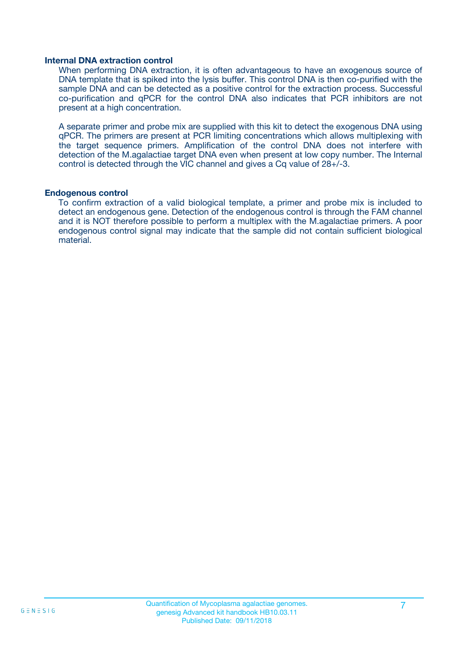#### **Internal DNA extraction control**

When performing DNA extraction, it is often advantageous to have an exogenous source of DNA template that is spiked into the lysis buffer. This control DNA is then co-purified with the sample DNA and can be detected as a positive control for the extraction process. Successful co-purification and qPCR for the control DNA also indicates that PCR inhibitors are not present at a high concentration.

A separate primer and probe mix are supplied with this kit to detect the exogenous DNA using qPCR. The primers are present at PCR limiting concentrations which allows multiplexing with the target sequence primers. Amplification of the control DNA does not interfere with detection of the M.agalactiae target DNA even when present at low copy number. The Internal control is detected through the VIC channel and gives a Cq value of 28+/-3.

#### **Endogenous control**

To confirm extraction of a valid biological template, a primer and probe mix is included to detect an endogenous gene. Detection of the endogenous control is through the FAM channel and it is NOT therefore possible to perform a multiplex with the M.agalactiae primers. A poor endogenous control signal may indicate that the sample did not contain sufficient biological material.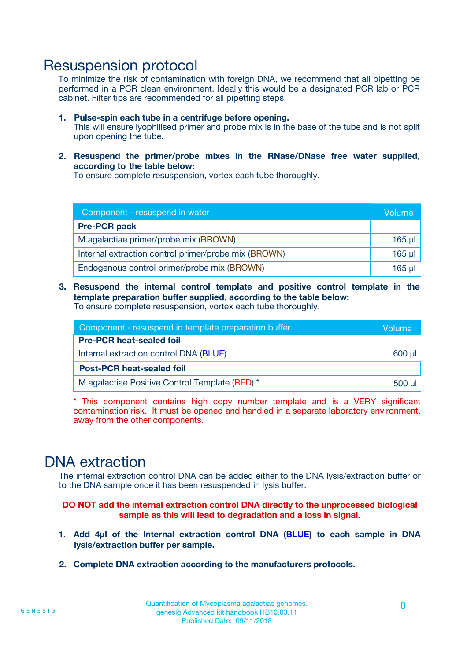### Resuspension protocol

To minimize the risk of contamination with foreign DNA, we recommend that all pipetting be performed in a PCR clean environment. Ideally this would be a designated PCR lab or PCR cabinet. Filter tips are recommended for all pipetting steps.

- **1. Pulse-spin each tube in a centrifuge before opening.** This will ensure lyophilised primer and probe mix is in the base of the tube and is not spilt upon opening the tube.
- **2. Resuspend the primer/probe mixes in the RNase/DNase free water supplied, according to the table below:**

To ensure complete resuspension, vortex each tube thoroughly.

| Component - resuspend in water                       |          |  |
|------------------------------------------------------|----------|--|
| <b>Pre-PCR pack</b>                                  |          |  |
| M.agalactiae primer/probe mix (BROWN)                | $165$ µl |  |
| Internal extraction control primer/probe mix (BROWN) | $165$ µl |  |
| Endogenous control primer/probe mix (BROWN)          | 165 µl   |  |

**3. Resuspend the internal control template and positive control template in the template preparation buffer supplied, according to the table below:** To ensure complete resuspension, vortex each tube thoroughly.

| Component - resuspend in template preparation buffer |  |  |  |
|------------------------------------------------------|--|--|--|
| <b>Pre-PCR heat-sealed foil</b>                      |  |  |  |
| Internal extraction control DNA (BLUE)               |  |  |  |
| <b>Post-PCR heat-sealed foil</b>                     |  |  |  |
| M.agalactiae Positive Control Template (RED) *       |  |  |  |

\* This component contains high copy number template and is a VERY significant contamination risk. It must be opened and handled in a separate laboratory environment, away from the other components.

### DNA extraction

The internal extraction control DNA can be added either to the DNA lysis/extraction buffer or to the DNA sample once it has been resuspended in lysis buffer.

**DO NOT add the internal extraction control DNA directly to the unprocessed biological sample as this will lead to degradation and a loss in signal.**

- **1. Add 4µl of the Internal extraction control DNA (BLUE) to each sample in DNA lysis/extraction buffer per sample.**
- **2. Complete DNA extraction according to the manufacturers protocols.**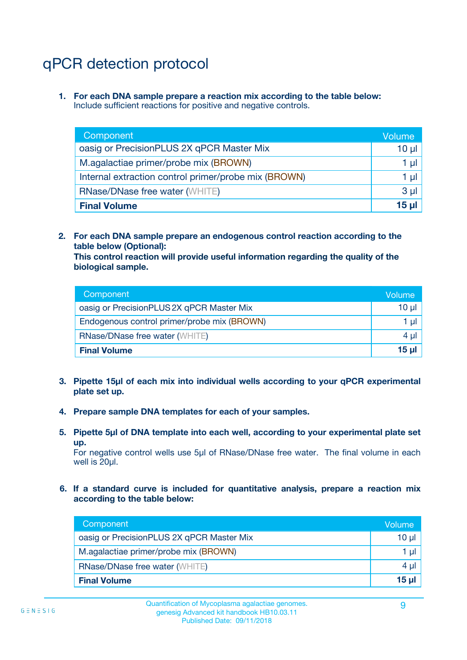# qPCR detection protocol

**1. For each DNA sample prepare a reaction mix according to the table below:** Include sufficient reactions for positive and negative controls.

| Component                                            | Volume   |
|------------------------------------------------------|----------|
| oasig or PrecisionPLUS 2X qPCR Master Mix            | 10 $\mu$ |
| M.agalactiae primer/probe mix (BROWN)                | 1 µl     |
| Internal extraction control primer/probe mix (BROWN) | 1 µl     |
| <b>RNase/DNase free water (WHITE)</b>                | $3 \mu$  |
| <b>Final Volume</b>                                  | 15 µl    |

**2. For each DNA sample prepare an endogenous control reaction according to the table below (Optional):**

**This control reaction will provide useful information regarding the quality of the biological sample.**

| Component                                   | Volume   |
|---------------------------------------------|----------|
| oasig or PrecisionPLUS 2X qPCR Master Mix   | $10 \mu$ |
| Endogenous control primer/probe mix (BROWN) | 1 µI     |
| <b>RNase/DNase free water (WHITE)</b>       | $4 \mu$  |
| <b>Final Volume</b>                         | 15 µl    |

- **3. Pipette 15µl of each mix into individual wells according to your qPCR experimental plate set up.**
- **4. Prepare sample DNA templates for each of your samples.**
- **5. Pipette 5µl of DNA template into each well, according to your experimental plate set up.**

For negative control wells use 5µl of RNase/DNase free water. The final volume in each well is 20ul.

**6. If a standard curve is included for quantitative analysis, prepare a reaction mix according to the table below:**

| Component                                 | Volume  |
|-------------------------------------------|---------|
| oasig or PrecisionPLUS 2X qPCR Master Mix | 10 µl   |
| M.agalactiae primer/probe mix (BROWN)     | 1 µI    |
| <b>RNase/DNase free water (WHITE)</b>     | $4 \mu$ |
| <b>Final Volume</b>                       | 15 µl   |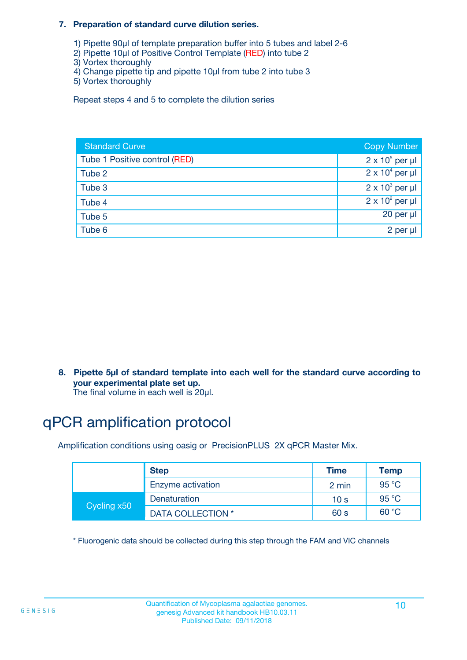#### **7. Preparation of standard curve dilution series.**

- 1) Pipette 90µl of template preparation buffer into 5 tubes and label 2-6
- 2) Pipette 10µl of Positive Control Template (RED) into tube 2
- 3) Vortex thoroughly
- 4) Change pipette tip and pipette 10µl from tube 2 into tube 3
- 5) Vortex thoroughly

Repeat steps 4 and 5 to complete the dilution series

| <b>Standard Curve</b>         | <b>Copy Number</b>     |
|-------------------------------|------------------------|
| Tube 1 Positive control (RED) | $2 \times 10^5$ per µl |
| Tube 2                        | $2 \times 10^4$ per µl |
| Tube 3                        | $2 \times 10^3$ per µl |
| Tube 4                        | $2 \times 10^2$ per µl |
| Tube 5                        | 20 per µl              |
| Tube 6                        | 2 per µl               |

**8. Pipette 5µl of standard template into each well for the standard curve according to your experimental plate set up.**

#### The final volume in each well is 20µl.

## qPCR amplification protocol

Amplification conditions using oasig or PrecisionPLUS 2X qPCR Master Mix.

|             | <b>Step</b>       | <b>Time</b>     | Temp    |
|-------------|-------------------|-----------------|---------|
|             | Enzyme activation | 2 min           | 95 °C   |
| Cycling x50 | Denaturation      | 10 <sub>s</sub> | 95 $°C$ |
|             | DATA COLLECTION * | 60 s            | 60 °C   |

\* Fluorogenic data should be collected during this step through the FAM and VIC channels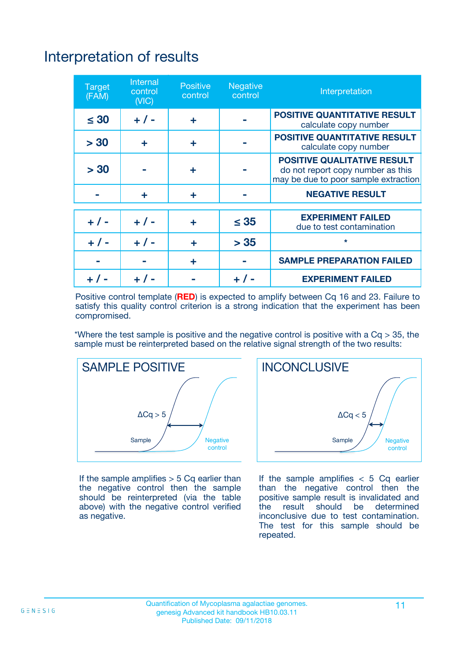# Interpretation of results

| <b>Target</b><br>(FAM) | <b>Internal</b><br>control<br>(NIC) | <b>Positive</b><br>control | <b>Negative</b><br>control | Interpretation                                                                                                  |
|------------------------|-------------------------------------|----------------------------|----------------------------|-----------------------------------------------------------------------------------------------------------------|
| $\leq 30$              | $+ 1 -$                             | ÷                          |                            | <b>POSITIVE QUANTITATIVE RESULT</b><br>calculate copy number                                                    |
| > 30                   | ٠                                   | ÷                          |                            | <b>POSITIVE QUANTITATIVE RESULT</b><br>calculate copy number                                                    |
| > 30                   |                                     | ÷                          |                            | <b>POSITIVE QUALITATIVE RESULT</b><br>do not report copy number as this<br>may be due to poor sample extraction |
|                        | ÷                                   | ÷                          |                            | <b>NEGATIVE RESULT</b>                                                                                          |
| $+ 1 -$                | $+ 1 -$                             | ÷                          | $\leq$ 35                  | <b>EXPERIMENT FAILED</b><br>due to test contamination                                                           |
| $+$ / -                | $+ 1 -$                             | ÷                          | > 35                       | $\star$                                                                                                         |
|                        |                                     | ÷                          |                            | <b>SAMPLE PREPARATION FAILED</b>                                                                                |
|                        |                                     |                            | $+$ /                      | <b>EXPERIMENT FAILED</b>                                                                                        |

Positive control template (**RED**) is expected to amplify between Cq 16 and 23. Failure to satisfy this quality control criterion is a strong indication that the experiment has been compromised.

\*Where the test sample is positive and the negative control is positive with a  $Ca > 35$ , the sample must be reinterpreted based on the relative signal strength of the two results:



If the sample amplifies  $> 5$  Cq earlier than the negative control then the sample should be reinterpreted (via the table above) with the negative control verified as negative.



If the sample amplifies  $< 5$  Cq earlier than the negative control then the positive sample result is invalidated and<br>the result should be determined  $the$  result should be inconclusive due to test contamination. The test for this sample should be repeated.